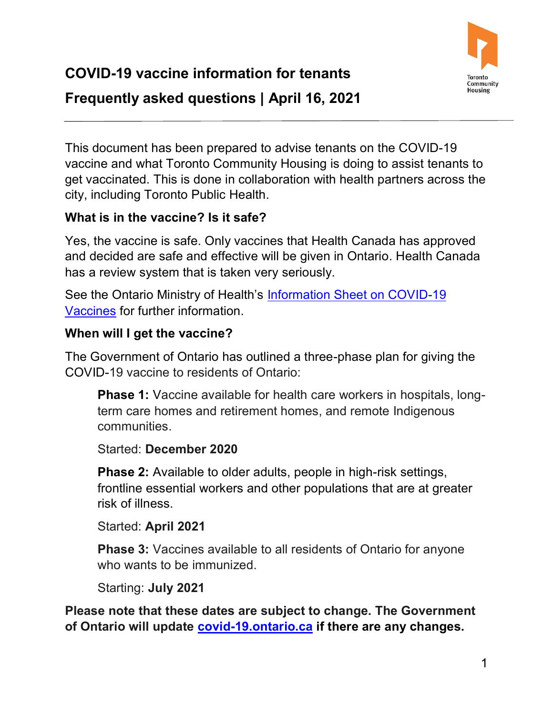

 This document has been prepared to advise tenants on the COVID-19 vaccine and what Toronto Community Housing is doing to assist tenants to get vaccinated. This is done in collaboration with health partners across the city, including Toronto Public Health.

### **What is in the vaccine? Is it safe?**

 and decided are safe and effective will be given in Ontario. Health Canada has a review system that is taken very seriously. Yes, the vaccine is safe. Only vaccines that Health Canada has approved

See the Ontario Ministry of Health's <u>Information Sheet on COVID-19</u> [Vaccines](http://www.health.gov.on.ca/en/pro/programs/publichealth/coronavirus/docs/vaccine/COVID-19_information_sheet_pfizer-biontech.pdf) for further information.

#### **When will I get the vaccine?**

 The Government of Ontario has outlined a three-phase plan for giving the COVID-19 vaccine to residents of Ontario:

 **Phase 1:** Vaccine available for health care workers in hospitals, longterm care homes and retirement homes, and remote Indigenous communities.

#### Started: **December 2020**

**Phase 2:** Available to older adults, people in high-risk settings, frontline essential workers and other populations that are at greater risk of illness.

 Started: **April 2021** 

**Phase 3:** Vaccines available to all residents of Ontario for anyone who wants to be immunized.

Starting: **July 2021** 

 **Please note that these dates are subject to change. The Government of Ontario will update [covid-19.ontario.ca](https://covid-19.ontario.ca/) if there are any changes.**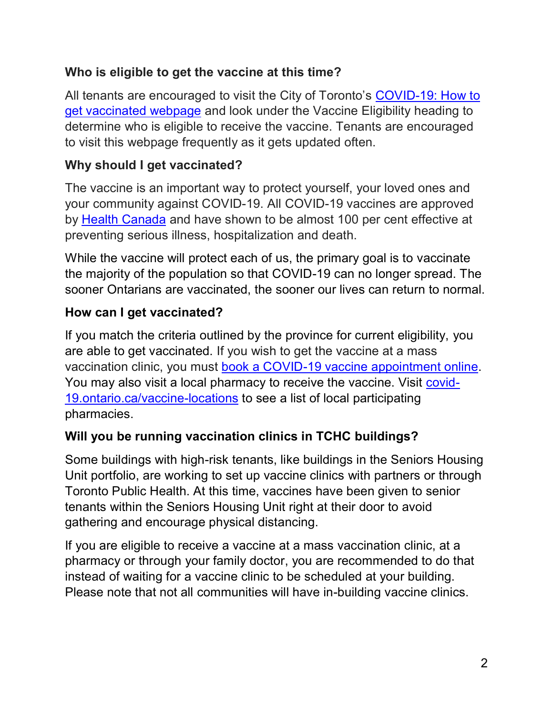#### **Who is eligible to get the vaccine at this time?**

All tenants are encouraged to visit the City of Toronto's <u>COVID-19: How to</u> [get vaccinated webpage](https://www.toronto.ca/home/covid-19/covid-19-protect-yourself-others/covid-19-vaccines/covid-19-how-to-get-vaccinated/?accordion=vaccine-eligibility) and look under the Vaccine Eligibility heading to determine who is eligible to receive the vaccine. Tenants are encouraged to visit this webpage frequently as it gets updated often.

## **Why should I get vaccinated?**

 The vaccine is an important way to protect yourself, your loved ones and your community against COVID-19. All COVID-19 vaccines are approved by <u>Health Canada</u> and have shown to be almost 100 per cent effective at preventing serious illness, hospitalization and death.

 While the vaccine will protect each of us, the primary goal is to vaccinate sooner Ontarians are vaccinated, the sooner our lives can return to normal. the majority of the population so that COVID-19 can no longer spread. The

# **How can I get vaccinated?**

 If you match the criteria outlined by the province for current eligibility, you are able to get vaccinated. If you wish to get the vaccine at a mass You may also visit a local pharmacy to receive the vaccine. Visit <u>covid-</u> 19. ontario.ca/vaccine-locations to see a list of local participating vaccination clinic, you must [book a COVID-19 vaccine appointment online.](https://covid-19.ontario.ca/book-vaccine/) pharmacies.

### **Will you be running vaccination clinics in TCHC buildings?**

 Unit portfolio, are working to set up vaccine clinics with partners or through Toronto Public Health. At this time, vaccines have been given to senior tenants within the Seniors Housing Unit right at their door to avoid Some buildings with high-risk tenants, like buildings in the Seniors Housing gathering and encourage physical distancing.

 If you are eligible to receive a vaccine at a mass vaccination clinic, at a pharmacy or through your family doctor, you are recommended to do that instead of waiting for a vaccine clinic to be scheduled at your building. Please note that not all communities will have in-building vaccine clinics.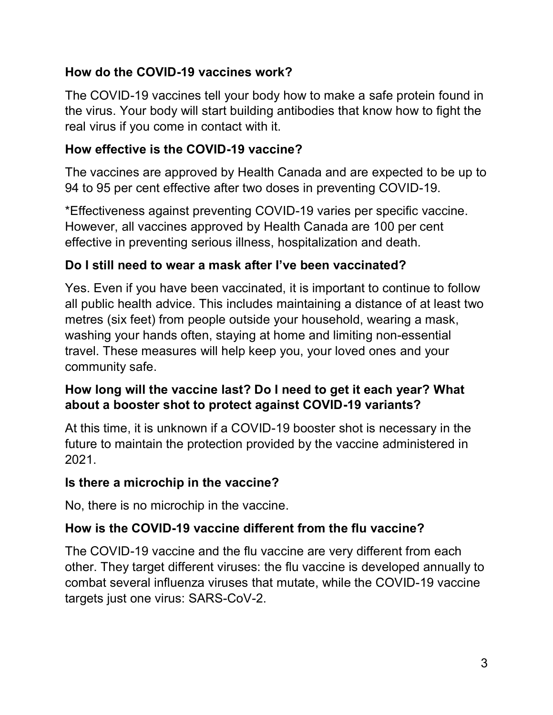### **How do the COVID-19 vaccines work?**

 The COVID-19 vaccines tell your body how to make a safe protein found in the virus. Your body will start building antibodies that know how to fight the real virus if you come in contact with it.

# **How effective is the COVID-19 vaccine?**

 The vaccines are approved by Health Canada and are expected to be up to 94 to 95 per cent effective after two doses in preventing COVID-19.

 effective in preventing serious illness, hospitalization and death. \*Effectiveness against preventing COVID-19 varies per specific vaccine. However, all vaccines approved by Health Canada are 100 per cent

# **Do I still need to wear a mask after I've been vaccinated?**

 all public health advice. This includes maintaining a distance of at least two metres (six feet) from people outside your household, wearing a mask, washing your hands often, staying at home and limiting non-essential travel. These measures will help keep you, your loved ones and your Yes. Even if you have been vaccinated, it is important to continue to follow community safe.

### **How long will the vaccine last? Do I need to get it each year? What about a booster shot to protect against COVID-19 variants?**

 At this time, it is unknown if a COVID-19 booster shot is necessary in the future to maintain the protection provided by the vaccine administered in 2021.

### **Is there a microchip in the vaccine?**

No, there is no microchip in the vaccine.

# **How is the COVID-19 vaccine different from the flu vaccine?**

 The COVID-19 vaccine and the flu vaccine are very different from each other. They target different viruses: the flu vaccine is developed annually to combat several influenza viruses that mutate, while the COVID-19 vaccine targets just one virus: SARS-CoV-2.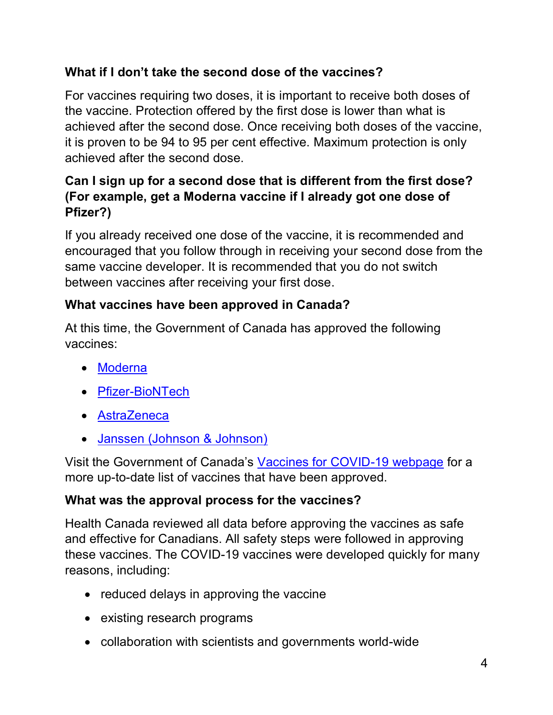# **What if I don't take the second dose of the vaccines?**

 it is proven to be 94 to 95 per cent effective. Maximum protection is only achieved after the second dose. For vaccines requiring two doses, it is important to receive both doses of the vaccine. Protection offered by the first dose is lower than what is achieved after the second dose. Once receiving both doses of the vaccine,

### **Can I sign up for a second dose that is different from the first dose? (For example, get a Moderna vaccine if I already got one dose of Pfizer?)**

 If you already received one dose of the vaccine, it is recommended and encouraged that you follow through in receiving your second dose from the same vaccine developer. It is recommended that you do not switch between vaccines after receiving your first dose.

# **What vaccines have been approved in Canada?**

At this time, the Government of Canada has approved the following vaccines:

- Moderna
- Pfizer-BioNTech
- AstraZeneca
- **Janssen (Johnson & Johnson)**

Visit the Government of Canada's <u>Vaccines for COVID-19 webpage</u> for a more up-to-date list of vaccines that have been approved.

### **What was the approval process for the vaccines?**

 Health Canada reviewed all data before approving the vaccines as safe and effective for Canadians. All safety steps were followed in approving these vaccines. The COVID-19 vaccines were developed quickly for many reasons, including:

- reduced delays in approving the vaccine
- existing research programs
- collaboration with scientists and governments world-wide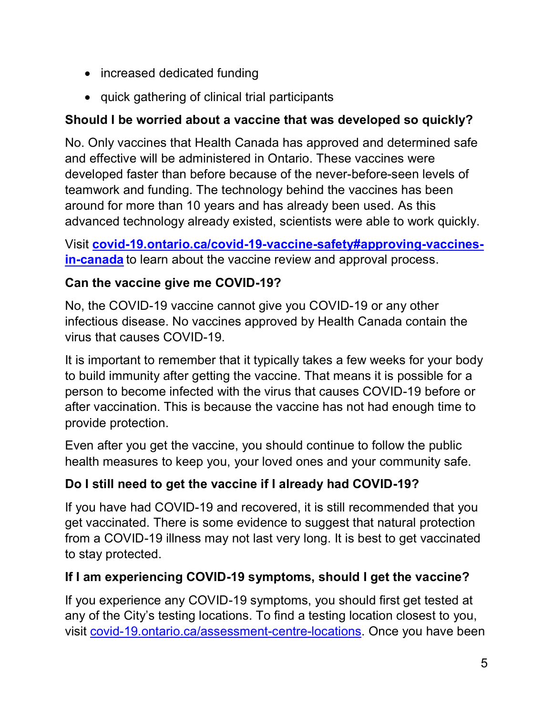- increased dedicated funding
- quick gathering of clinical trial participants

## **Should I be worried about a vaccine that was developed so quickly?**

 and effective will be administered in Ontario. These vaccines were developed faster than before because of the never-before-seen levels of teamwork and funding. The technology behind the vaccines has been around for more than 10 years and has already been used. As this No. Only vaccines that Health Canada has approved and determined safe advanced technology already existed, scientists were able to work quickly.

 **[in-canada](http://www.covid-19.ontario.ca/covid-19-vaccine-safety#approving-vaccines-in-canada)** to learn about the vaccine review and approval process. Visit **[covid-19.ontario.ca/covid-19-vaccine-safety#approving-vaccines-](http://www.covid-19.ontario.ca/covid-19-vaccine-safety#approving-vaccines-in-canada)**

### **Can the vaccine give me COVID-19?**

 No, the COVID-19 vaccine cannot give you COVID-19 or any other infectious disease. No vaccines approved by Health Canada contain the virus that causes COVID-19.

 It is important to remember that it typically takes a few weeks for your body person to become infected with the virus that causes COVID-19 before or to build immunity after getting the vaccine. That means it is possible for a after vaccination. This is because the vaccine has not had enough time to provide protection.

 Even after you get the vaccine, you should continue to follow the public health measures to keep you, your loved ones and your community safe.

# **Do I still need to get the vaccine if I already had COVID-19?**

 If you have had COVID-19 and recovered, it is still recommended that you get vaccinated. There is some evidence to suggest that natural protection from a COVID-19 illness may not last very long. It is best to get vaccinated to stay protected.

# **If I am experiencing COVID-19 symptoms, should I get the vaccine?**

visit covid-19.ontario.ca/assessment-centre-locations</u>. Once you have been If you experience any COVID-19 symptoms, you should first get tested at any of the City's testing locations. To find a testing location closest to you,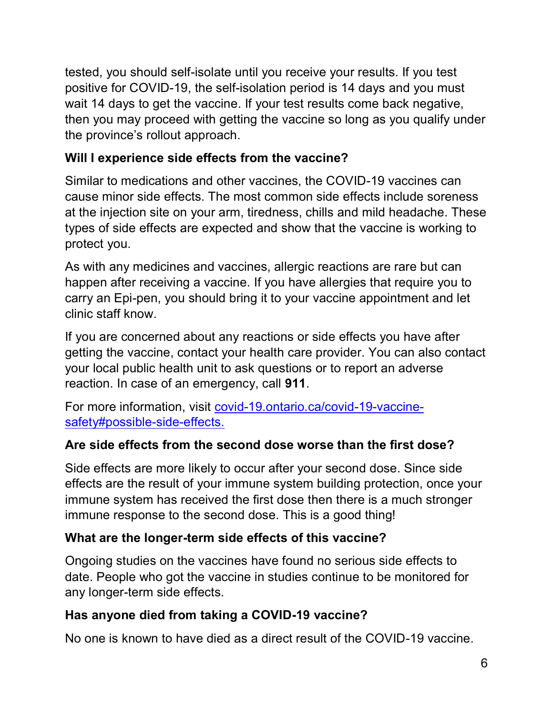tested, you should self-isolate until you receive your results. If you test positive for COVID-19, the self-isolation period is 14 days and you must wait 14 days to get the vaccine. If your test results come back negative, then you may proceed with getting the vaccine so long as you qualify under the province's rollout approach.

# **Will I experience side effects from the vaccine?**

 Similar to medications and other vaccines, the COVID-19 vaccines can cause minor side effects. The most common side effects include soreness at the injection site on your arm, tiredness, chills and mild headache. These types of side effects are expected and show that the vaccine is working to protect you.

 happen after receiving a vaccine. If you have allergies that require you to As with any medicines and vaccines, allergic reactions are rare but can carry an Epi-pen, you should bring it to your vaccine appointment and let clinic staff know.

 If you are concerned about any reactions or side effects you have after your local public health unit to ask questions or to report an adverse reaction. In case of an emergency, call **911**. getting the vaccine, contact your health care provider. You can also contact

For more information, visit [covid-19.ontario.ca/covid-19-vaccine](http://covid-19.ontario.ca/covid-19-vaccine-safety#possible-side-effects)[safety#possible-side-effects.](http://covid-19.ontario.ca/covid-19-vaccine-safety#possible-side-effects)

#### **Are side effects from the second dose worse than the first dose?**

 Side effects are more likely to occur after your second dose. Since side effects are the result of your immune system building protection, once your immune response to the second dose. This is a good thing! immune system has received the first dose then there is a much stronger

#### **What are the longer-term side effects of this vaccine?**

 Ongoing studies on the vaccines have found no serious side effects to date. People who got the vaccine in studies continue to be monitored for any longer-term side effects.

#### **Has anyone died from taking a COVID-19 vaccine?**

No one is known to have died as a direct result of the COVID-19 vaccine.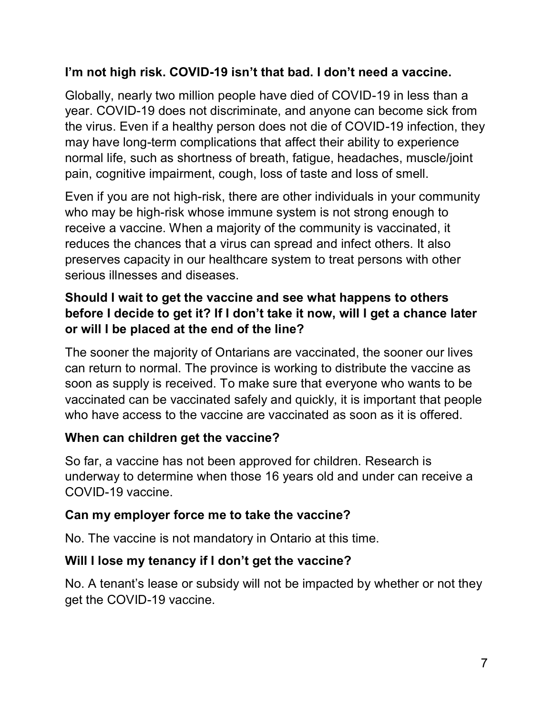#### **I'm not high risk. COVID-19 isn't that bad. I don't need a vaccine.**

 Globally, nearly two million people have died of COVID-19 in less than a pain, cognitive impairment, cough, loss of taste and loss of smell. year. COVID-19 does not discriminate, and anyone can become sick from the virus. Even if a healthy person does not die of COVID-19 infection, they may have long-term complications that affect their ability to experience normal life, such as shortness of breath, fatigue, headaches, muscle/joint

 Even if you are not high-risk, there are other individuals in your community who may be high-risk whose immune system is not strong enough to reduces the chances that a virus can spread and infect others. It also receive a vaccine. When a majority of the community is vaccinated, it preserves capacity in our healthcare system to treat persons with other serious illnesses and diseases.

#### **Should I wait to get the vaccine and see what happens to others before I decide to get it? If I don't take it now, will I get a chance later or will I be placed at the end of the line?**

 The sooner the majority of Ontarians are vaccinated, the sooner our lives soon as supply is received. To make sure that everyone who wants to be vaccinated can be vaccinated safely and quickly, it is important that people can return to normal. The province is working to distribute the vaccine as who have access to the vaccine are vaccinated as soon as it is offered.

#### **When can children get the vaccine?**

 underway to determine when those 16 years old and under can receive a So far, a vaccine has not been approved for children. Research is COVID-19 vaccine.

### **Can my employer force me to take the vaccine?**

No. The vaccine is not mandatory in Ontario at this time.

#### **Will I lose my tenancy if I don't get the vaccine?**

 No. A tenant's lease or subsidy will not be impacted by whether or not they get the COVID-19 vaccine.